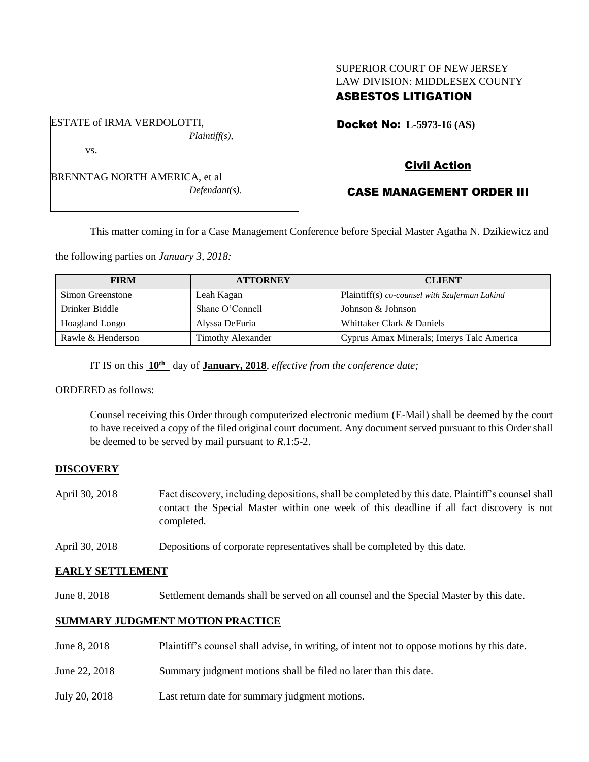# SUPERIOR COURT OF NEW JERSEY LAW DIVISION: MIDDLESEX COUNTY ASBESTOS LITIGATION

Docket No: **L-5973-16 (AS)** 

BRENNTAG NORTH AMERICA, et al *Defendant(s).*

*Plaintiff(s),*

ESTATE of IRMA VERDOLOTTI,

vs.

# Civil Action

# CASE MANAGEMENT ORDER III

This matter coming in for a Case Management Conference before Special Master Agatha N. Dzikiewicz and

the following parties on *January 3, 2018:*

| <b>FIRM</b>       | <b>ATTORNEY</b>          | <b>CLIENT</b>                                 |
|-------------------|--------------------------|-----------------------------------------------|
| Simon Greenstone  | Leah Kagan               | Plaintiff(s) co-counsel with Szaferman Lakind |
| Drinker Biddle    | Shane O'Connell          | Johnson & Johnson                             |
| Hoagland Longo    | Alyssa DeFuria           | Whittaker Clark & Daniels                     |
| Rawle & Henderson | <b>Timothy Alexander</b> | Cyprus Amax Minerals; Imerys Talc America     |

IT IS on this **10th** day of **January, 2018**, *effective from the conference date;*

ORDERED as follows:

Counsel receiving this Order through computerized electronic medium (E-Mail) shall be deemed by the court to have received a copy of the filed original court document. Any document served pursuant to this Order shall be deemed to be served by mail pursuant to *R*.1:5-2.

# **DISCOVERY**

- April 30, 2018 Fact discovery, including depositions, shall be completed by this date. Plaintiff's counsel shall contact the Special Master within one week of this deadline if all fact discovery is not completed.
- April 30, 2018 Depositions of corporate representatives shall be completed by this date.

# **EARLY SETTLEMENT**

June 8, 2018 Settlement demands shall be served on all counsel and the Special Master by this date.

# **SUMMARY JUDGMENT MOTION PRACTICE**

June 8, 2018 Plaintiff's counsel shall advise, in writing, of intent not to oppose motions by this date. June 22, 2018 Summary judgment motions shall be filed no later than this date. July 20, 2018 Last return date for summary judgment motions.